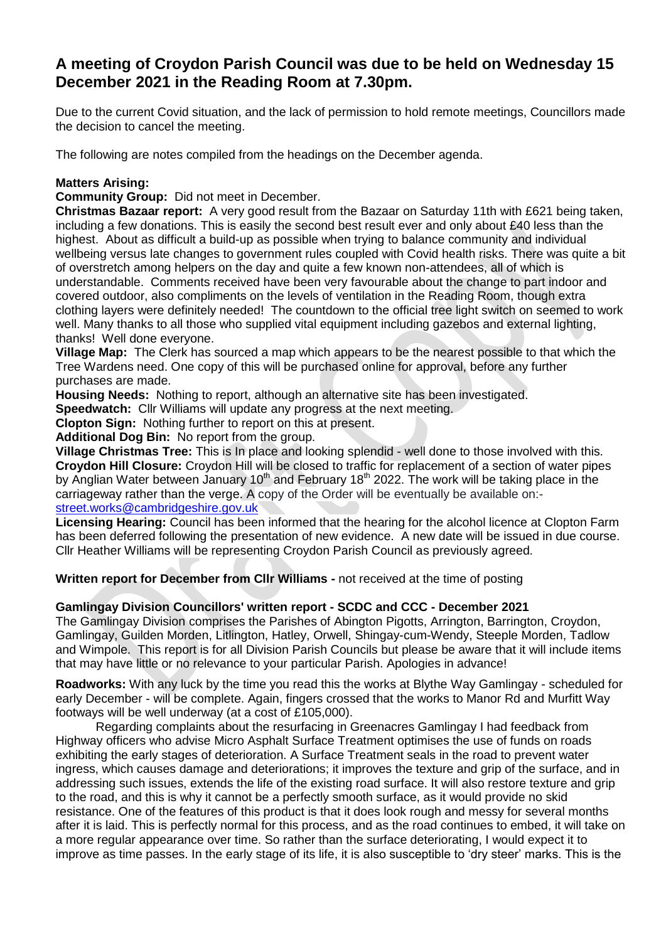# **A meeting of Croydon Parish Council was due to be held on Wednesday 15 December 2021 in the Reading Room at 7.30pm.**

Due to the current Covid situation, and the lack of permission to hold remote meetings, Councillors made the decision to cancel the meeting.

The following are notes compiled from the headings on the December agenda.

## **Matters Arising:**

**Community Group:** Did not meet in December.

**Christmas Bazaar report:** A very good result from the Bazaar on Saturday 11th with £621 being taken, including a few donations. This is easily the second best result ever and only about £40 less than the highest. About as difficult a build-up as possible when trying to balance community and individual wellbeing versus late changes to government rules coupled with Covid health risks. There was quite a bit of overstretch among helpers on the day and quite a few known non-attendees, all of which is understandable. Comments received have been very favourable about the change to part indoor and covered outdoor, also compliments on the levels of ventilation in the Reading Room, though extra clothing layers were definitely needed! The countdown to the official tree light switch on seemed to work well. Many thanks to all those who supplied vital equipment including gazebos and external lighting, thanks! Well done everyone.

**Village Map:** The Clerk has sourced a map which appears to be the nearest possible to that which the Tree Wardens need. One copy of this will be purchased online for approval, before any further purchases are made.

**Housing Needs:** Nothing to report, although an alternative site has been investigated.

**Speedwatch:** Cllr Williams will update any progress at the next meeting.

**Clopton Sign:** Nothing further to report on this at present.

**Additional Dog Bin:** No report from the group.

**Village Christmas Tree:** This is In place and looking splendid - well done to those involved with this. **Croydon Hill Closure:** Croydon Hill will be closed to traffic for replacement of a section of water pipes by Anglian Water between January 10<sup>th</sup> and February 18<sup>th</sup> 2022. The work will be taking place in the carriageway rather than the verge. A copy of the Order will be eventually be available on: [street.works@cambridgeshire.gov.uk](file:///D:/Documents/Marian/My%20Documents/PC/Minutes/street.works@cambridgeshire.gov.uk)

**Licensing Hearing:** Council has been informed that the hearing for the alcohol licence at Clopton Farm has been deferred following the presentation of new evidence. A new date will be issued in due course. Cllr Heather Williams will be representing Croydon Parish Council as previously agreed.

**Written report for December from Cllr Williams -** not received at the time of posting

## **Gamlingay Division Councillors' written report - SCDC and CCC - December 2021**

The Gamlingay Division comprises the Parishes of Abington Pigotts, Arrington, Barrington, Croydon, Gamlingay, Guilden Morden, Litlington, Hatley, Orwell, Shingay-cum-Wendy, Steeple Morden, Tadlow and Wimpole. This report is for all Division Parish Councils but please be aware that it will include items that may have little or no relevance to your particular Parish. Apologies in advance!

**Roadworks:** With any luck by the time you read this the works at Blythe Way Gamlingay - scheduled for early December - will be complete. Again, fingers crossed that the works to Manor Rd and Murfitt Way footways will be well underway (at a cost of £105,000).

Regarding complaints about the resurfacing in Greenacres Gamlingay I had feedback from Highway officers who advise Micro Asphalt Surface Treatment optimises the use of funds on roads exhibiting the early stages of deterioration. A Surface Treatment seals in the road to prevent water ingress, which causes damage and deteriorations; it improves the texture and grip of the surface, and in addressing such issues, extends the life of the existing road surface. It will also restore texture and grip to the road, and this is why it cannot be a perfectly smooth surface, as it would provide no skid resistance. One of the features of this product is that it does look rough and messy for several months after it is laid. This is perfectly normal for this process, and as the road continues to embed, it will take on a more regular appearance over time. So rather than the surface deteriorating, I would expect it to improve as time passes. In the early stage of its life, it is also susceptible to 'dry steer' marks. This is the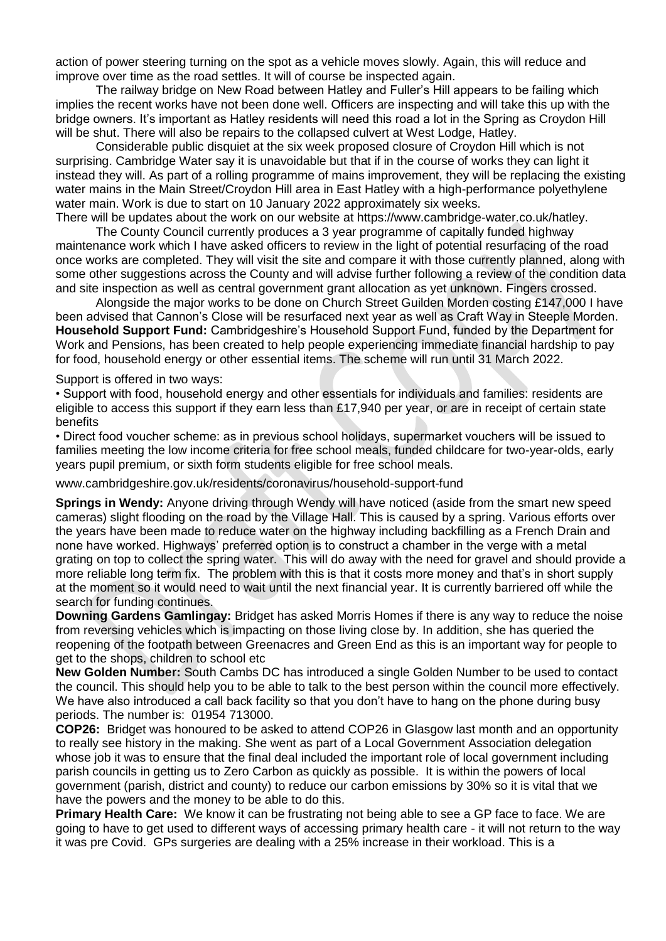action of power steering turning on the spot as a vehicle moves slowly. Again, this will reduce and improve over time as the road settles. It will of course be inspected again.

The railway bridge on New Road between Hatley and Fuller's Hill appears to be failing which implies the recent works have not been done well. Officers are inspecting and will take this up with the bridge owners. It's important as Hatley residents will need this road a lot in the Spring as Croydon Hill will be shut. There will also be repairs to the collapsed culvert at West Lodge, Hatley.

Considerable public disquiet at the six week proposed closure of Croydon Hill which is not surprising. Cambridge Water say it is unavoidable but that if in the course of works they can light it instead they will. As part of a rolling programme of mains improvement, they will be replacing the existing water mains in the Main Street/Croydon Hill area in East Hatley with a high-performance polyethylene water main. Work is due to start on 10 January 2022 approximately six weeks.

There will be updates about the work on our website at https://www.cambridge-water.co.uk/hatley. The County Council currently produces a 3 year programme of capitally funded highway

maintenance work which I have asked officers to review in the light of potential resurfacing of the road once works are completed. They will visit the site and compare it with those currently planned, along with some other suggestions across the County and will advise further following a review of the condition data and site inspection as well as central government grant allocation as yet unknown. Fingers crossed.

Alongside the major works to be done on Church Street Guilden Morden costing £147,000 I have been advised that Cannon's Close will be resurfaced next year as well as Craft Way in Steeple Morden. **Household Support Fund:** Cambridgeshire's Household Support Fund, funded by the Department for Work and Pensions, has been created to help people experiencing immediate financial hardship to pay for food, household energy or other essential items. The scheme will run until 31 March 2022.

Support is offered in two ways:

• Support with food, household energy and other essentials for individuals and families: residents are eligible to access this support if they earn less than £17,940 per year, or are in receipt of certain state benefits

• Direct food voucher scheme: as in previous school holidays, supermarket vouchers will be issued to families meeting the low income criteria for free school meals, funded childcare for two-year-olds, early years pupil premium, or sixth form students eligible for free school meals.

www.cambridgeshire.gov.uk/residents/coronavirus/household-support-fund

**Springs in Wendy:** Anyone driving through Wendy will have noticed (aside from the smart new speed cameras) slight flooding on the road by the Village Hall. This is caused by a spring. Various efforts over the years have been made to reduce water on the highway including backfilling as a French Drain and none have worked. Highways' preferred option is to construct a chamber in the verge with a metal grating on top to collect the spring water. This will do away with the need for gravel and should provide a more reliable long term fix. The problem with this is that it costs more money and that's in short supply at the moment so it would need to wait until the next financial year. It is currently barriered off while the search for funding continues.

**Downing Gardens Gamlingay:** Bridget has asked Morris Homes if there is any way to reduce the noise from reversing vehicles which is impacting on those living close by. In addition, she has queried the reopening of the footpath between Greenacres and Green End as this is an important way for people to get to the shops, children to school etc

**New Golden Number:** South Cambs DC has introduced a single Golden Number to be used to contact the council. This should help you to be able to talk to the best person within the council more effectively. We have also introduced a call back facility so that you don't have to hang on the phone during busy periods. The number is: 01954 713000.

**COP26:** Bridget was honoured to be asked to attend COP26 in Glasgow last month and an opportunity to really see history in the making. She went as part of a Local Government Association delegation whose job it was to ensure that the final deal included the important role of local government including parish councils in getting us to Zero Carbon as quickly as possible. It is within the powers of local government (parish, district and county) to reduce our carbon emissions by 30% so it is vital that we have the powers and the money to be able to do this.

**Primary Health Care:** We know it can be frustrating not being able to see a GP face to face. We are going to have to get used to different ways of accessing primary health care - it will not return to the way it was pre Covid. GPs surgeries are dealing with a 25% increase in their workload. This is a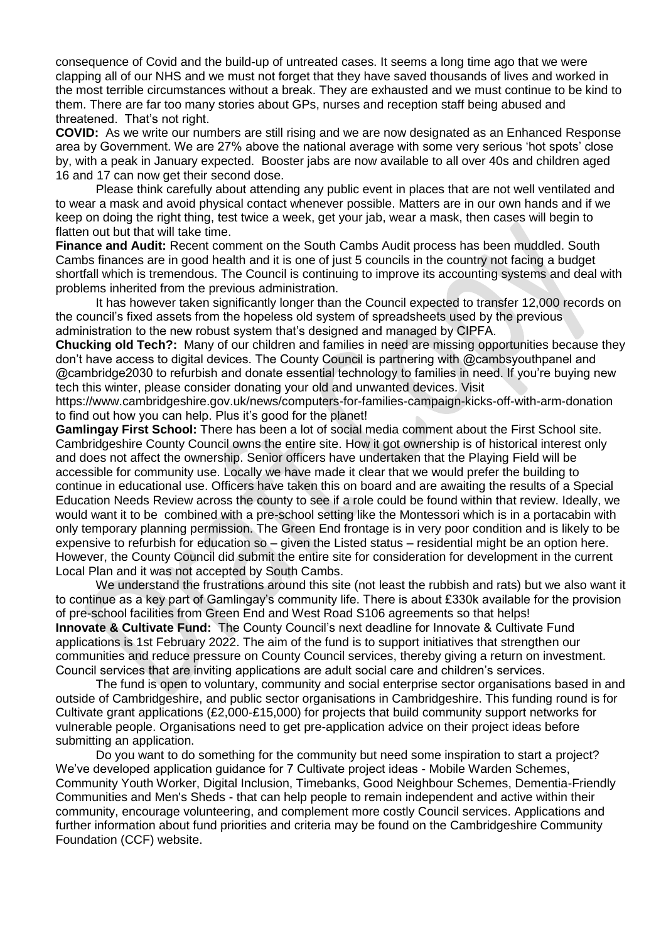consequence of Covid and the build-up of untreated cases. It seems a long time ago that we were clapping all of our NHS and we must not forget that they have saved thousands of lives and worked in the most terrible circumstances without a break. They are exhausted and we must continue to be kind to them. There are far too many stories about GPs, nurses and reception staff being abused and threatened. That's not right.

**COVID:** As we write our numbers are still rising and we are now designated as an Enhanced Response area by Government. We are 27% above the national average with some very serious 'hot spots' close by, with a peak in January expected. Booster jabs are now available to all over 40s and children aged 16 and 17 can now get their second dose.

Please think carefully about attending any public event in places that are not well ventilated and to wear a mask and avoid physical contact whenever possible. Matters are in our own hands and if we keep on doing the right thing, test twice a week, get your jab, wear a mask, then cases will begin to flatten out but that will take time.

**Finance and Audit:** Recent comment on the South Cambs Audit process has been muddled. South Cambs finances are in good health and it is one of just 5 councils in the country not facing a budget shortfall which is tremendous. The Council is continuing to improve its accounting systems and deal with problems inherited from the previous administration.

It has however taken significantly longer than the Council expected to transfer 12,000 records on the council's fixed assets from the hopeless old system of spreadsheets used by the previous administration to the new robust system that's designed and managed by CIPFA.

**Chucking old Tech?:** Many of our children and families in need are missing opportunities because they don't have access to digital devices. The County Council is partnering with @cambsyouthpanel and @cambridge2030 to refurbish and donate essential technology to families in need. If you're buying new tech this winter, please consider donating your old and unwanted devices. Visit

https://www.cambridgeshire.gov.uk/news/computers-for-families-campaign-kicks-off-with-arm-donation to find out how you can help. Plus it's good for the planet!

**Gamlingay First School:** There has been a lot of social media comment about the First School site. Cambridgeshire County Council owns the entire site. How it got ownership is of historical interest only and does not affect the ownership. Senior officers have undertaken that the Playing Field will be accessible for community use. Locally we have made it clear that we would prefer the building to continue in educational use. Officers have taken this on board and are awaiting the results of a Special Education Needs Review across the county to see if a role could be found within that review. Ideally, we would want it to be combined with a pre-school setting like the Montessori which is in a portacabin with only temporary planning permission. The Green End frontage is in very poor condition and is likely to be expensive to refurbish for education so – given the Listed status – residential might be an option here. However, the County Council did submit the entire site for consideration for development in the current Local Plan and it was not accepted by South Cambs.

We understand the frustrations around this site (not least the rubbish and rats) but we also want it to continue as a key part of Gamlingay's community life. There is about £330k available for the provision of pre-school facilities from Green End and West Road S106 agreements so that helps! **Innovate & Cultivate Fund:** The County Council's next deadline for Innovate & Cultivate Fund applications is 1st February 2022. The aim of the fund is to support initiatives that strengthen our communities and reduce pressure on County Council services, thereby giving a return on investment. Council services that are inviting applications are adult social care and children's services.

The fund is open to voluntary, community and social enterprise sector organisations based in and outside of Cambridgeshire, and public sector organisations in Cambridgeshire. This funding round is for Cultivate grant applications (£2,000-£15,000) for projects that build community support networks for vulnerable people. Organisations need to get pre-application advice on their project ideas before submitting an application.

Do you want to do something for the community but need some inspiration to start a project? We've developed application guidance for 7 Cultivate project ideas - Mobile Warden Schemes, Community Youth Worker, Digital Inclusion, Timebanks, Good Neighbour Schemes, Dementia-Friendly Communities and Men's Sheds - that can help people to remain independent and active within their community, encourage volunteering, and complement more costly Council services. Applications and further information about fund priorities and criteria may be found on the Cambridgeshire Community Foundation (CCF) website.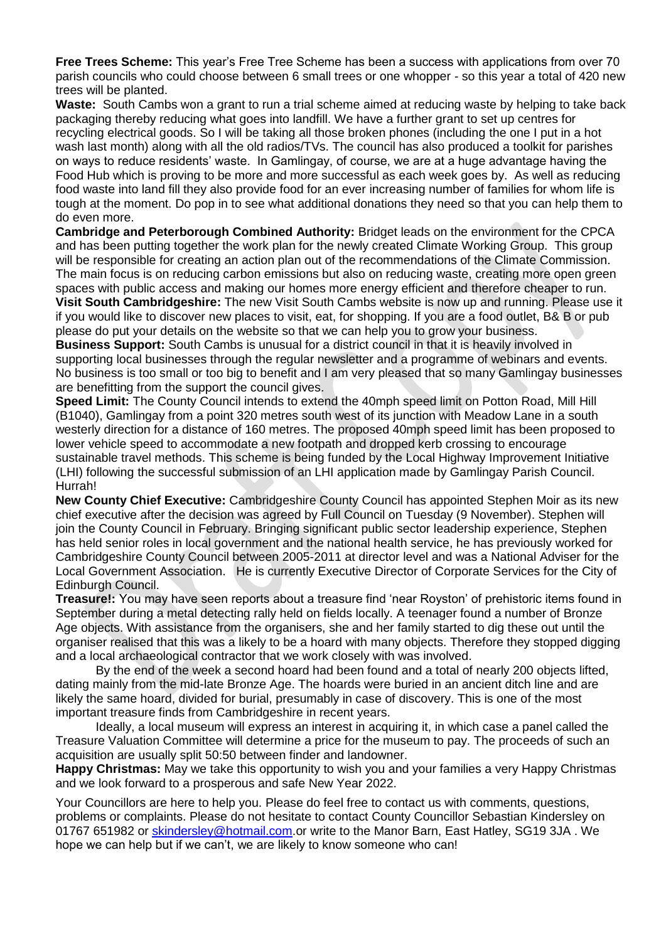**Free Trees Scheme:** This year's Free Tree Scheme has been a success with applications from over 70 parish councils who could choose between 6 small trees or one whopper - so this year a total of 420 new trees will be planted.

**Waste:** South Cambs won a grant to run a trial scheme aimed at reducing waste by helping to take back packaging thereby reducing what goes into landfill. We have a further grant to set up centres for recycling electrical goods. So I will be taking all those broken phones (including the one I put in a hot wash last month) along with all the old radios/TVs. The council has also produced a toolkit for parishes on ways to reduce residents' waste. In Gamlingay, of course, we are at a huge advantage having the Food Hub which is proving to be more and more successful as each week goes by. As well as reducing food waste into land fill they also provide food for an ever increasing number of families for whom life is tough at the moment. Do pop in to see what additional donations they need so that you can help them to do even more.

**Cambridge and Peterborough Combined Authority:** Bridget leads on the environment for the CPCA and has been putting together the work plan for the newly created Climate Working Group. This group will be responsible for creating an action plan out of the recommendations of the Climate Commission. The main focus is on reducing carbon emissions but also on reducing waste, creating more open green spaces with public access and making our homes more energy efficient and therefore cheaper to run. **Visit South Cambridgeshire:** The new Visit South Cambs website is now up and running. Please use it if you would like to discover new places to visit, eat, for shopping. If you are a food outlet, B& B or pub

please do put your details on the website so that we can help you to grow your business. **Business Support:** South Cambs is unusual for a district council in that it is heavily involved in

supporting local businesses through the regular newsletter and a programme of webinars and events. No business is too small or too big to benefit and I am very pleased that so many Gamlingay businesses are benefitting from the support the council gives.

**Speed Limit:** The County Council intends to extend the 40mph speed limit on Potton Road, Mill Hill (B1040), Gamlingay from a point 320 metres south west of its junction with Meadow Lane in a south westerly direction for a distance of 160 metres. The proposed 40mph speed limit has been proposed to lower vehicle speed to accommodate a new footpath and dropped kerb crossing to encourage sustainable travel methods. This scheme is being funded by the Local Highway Improvement Initiative (LHI) following the successful submission of an LHI application made by Gamlingay Parish Council. Hurrah!

**New County Chief Executive:** Cambridgeshire County Council has appointed Stephen Moir as its new chief executive after the decision was agreed by Full Council on Tuesday (9 November). Stephen will join the County Council in February. Bringing significant public sector leadership experience, Stephen has held senior roles in local government and the national health service, he has previously worked for Cambridgeshire County Council between 2005-2011 at director level and was a National Adviser for the Local Government Association. He is currently Executive Director of Corporate Services for the City of Edinburgh Council.

**Treasure!:** You may have seen reports about a treasure find 'near Royston' of prehistoric items found in September during a metal detecting rally held on fields locally. A teenager found a number of Bronze Age objects. With assistance from the organisers, she and her family started to dig these out until the organiser realised that this was a likely to be a hoard with many objects. Therefore they stopped digging and a local archaeological contractor that we work closely with was involved.

By the end of the week a second hoard had been found and a total of nearly 200 objects lifted, dating mainly from the mid-late Bronze Age. The hoards were buried in an ancient ditch line and are likely the same hoard, divided for burial, presumably in case of discovery. This is one of the most important treasure finds from Cambridgeshire in recent years.

Ideally, a local museum will express an interest in acquiring it, in which case a panel called the Treasure Valuation Committee will determine a price for the museum to pay. The proceeds of such an acquisition are usually split 50:50 between finder and landowner.

**Happy Christmas:** May we take this opportunity to wish you and your families a very Happy Christmas and we look forward to a prosperous and safe New Year 2022.

Your Councillors are here to help you. Please do feel free to contact us with comments, questions, problems or complaints. Please do not hesitate to contact County Councillor Sebastian Kindersley on 01767 651982 or [skindersley@hotmail.com.](mailto:skindersley@hotmail.com)or write to the Manor Barn, East Hatley, SG19 3JA . We hope we can help but if we can't, we are likely to know someone who can!